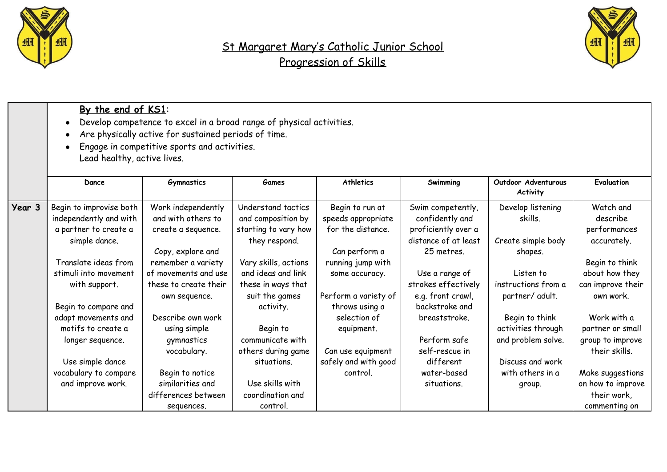



|        | By the end of KS1:<br>Develop competence to excel in a broad range of physical activities.<br>$\bullet$<br>Are physically active for sustained periods of time.<br>Engage in competitive sports and activities.<br>Lead healthy, active lives. |                                                                     |                                                                  |                                                            |                                                             |                                                            |                                                       |  |
|--------|------------------------------------------------------------------------------------------------------------------------------------------------------------------------------------------------------------------------------------------------|---------------------------------------------------------------------|------------------------------------------------------------------|------------------------------------------------------------|-------------------------------------------------------------|------------------------------------------------------------|-------------------------------------------------------|--|
|        | Dance                                                                                                                                                                                                                                          | <b>Gymnastics</b>                                                   | <b>Games</b>                                                     | <b>Athletics</b>                                           | Swimming                                                    | Outdoor Adventurous<br>Activity                            | Evaluation                                            |  |
| Year 3 | Begin to improvise both<br>independently and with<br>a partner to create a                                                                                                                                                                     | Work independently<br>and with others to<br>create a sequence.      | Understand tactics<br>and composition by<br>starting to vary how | Begin to run at<br>speeds appropriate<br>for the distance. | Swim competently,<br>confidently and<br>proficiently over a | Develop listening<br>skills.                               | Watch and<br>describe<br>performances                 |  |
|        | simple dance.                                                                                                                                                                                                                                  | Copy, explore and                                                   | they respond.                                                    | Can perform a                                              | distance of at least<br>25 metres.                          | Create simple body<br>shapes.                              | accurately.                                           |  |
|        | Translate ideas from<br>stimuli into movement<br>with support.                                                                                                                                                                                 | remember a variety<br>of movements and use<br>these to create their | Vary skills, actions<br>and ideas and link<br>these in ways that | running jump with<br>some accuracy.                        | Use a range of<br>strokes effectively                       | Listen to<br>instructions from a                           | Begin to think<br>about how they<br>can improve their |  |
|        | Begin to compare and                                                                                                                                                                                                                           | own sequence.                                                       | suit the games<br>activity.                                      | Perform a variety of<br>throws using a                     | e.g. front crawl,<br>backstroke and                         | partner/ adult.                                            | own work.                                             |  |
|        | adapt movements and<br>motifs to create a<br>longer sequence.                                                                                                                                                                                  | Describe own work<br>using simple<br>gymnastics                     | Begin to<br>communicate with                                     | selection of<br>equipment.                                 | breaststroke.<br>Perform safe                               | Begin to think<br>activities through<br>and problem solve. | Work with a<br>partner or small<br>group to improve   |  |
|        | Use simple dance<br>vocabulary to compare                                                                                                                                                                                                      | vocabulary.<br>Begin to notice                                      | others during game<br>situations.                                | Can use equipment<br>safely and with good<br>control.      | self-rescue in<br>different<br>water-based                  | Discuss and work<br>with others in a                       | their skills.<br>Make suggestions                     |  |
|        | and improve work.                                                                                                                                                                                                                              | similarities and<br>differences between<br>sequences.               | Use skills with<br>coordination and<br>control.                  |                                                            | situations.                                                 | group.                                                     | on how to improve<br>their work,<br>commenting on     |  |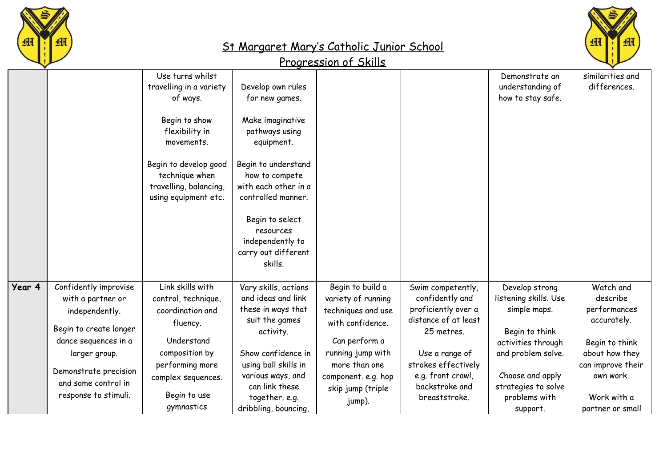



|        |                                                                                                                                                                                                         | Use turns whilst<br>travelling in a variety<br>of ways.<br>Begin to show<br>flexibility in<br>movements.<br>Begin to develop good<br>technique when<br>travelling, balancing,<br>using equipment etc. | Develop own rules<br>for new games.<br>Make imaginative<br>pathways using<br>equipment.<br>Begin to understand<br>how to compete<br>with each other in a<br>controlled manner.<br>Begin to select<br>resources<br>independently to<br>carry out different<br>skills. |                                                                                                                                                                                               |                                                                                                                                                                                                    | Demonstrate an<br>understanding of<br>how to stay safe.                                                                                                                                       | similarities and<br>differences.                                                                                                                              |
|--------|---------------------------------------------------------------------------------------------------------------------------------------------------------------------------------------------------------|-------------------------------------------------------------------------------------------------------------------------------------------------------------------------------------------------------|----------------------------------------------------------------------------------------------------------------------------------------------------------------------------------------------------------------------------------------------------------------------|-----------------------------------------------------------------------------------------------------------------------------------------------------------------------------------------------|----------------------------------------------------------------------------------------------------------------------------------------------------------------------------------------------------|-----------------------------------------------------------------------------------------------------------------------------------------------------------------------------------------------|---------------------------------------------------------------------------------------------------------------------------------------------------------------|
| Year 4 | Confidently improvise<br>with a partner or<br>independently.<br>Begin to create longer<br>dance sequences in a<br>larger group.<br>Demonstrate precision<br>and some control in<br>response to stimuli. | Link skills with<br>control, technique,<br>coordination and<br>fluency.<br>Understand<br>composition by<br>performing more<br>complex sequences.<br>Begin to use<br>gymnastics                        | Vary skills, actions<br>and ideas and link<br>these in ways that<br>suit the games<br>activity.<br>Show confidence in<br>using ball skills in<br>various ways, and<br>can link these<br>together. e.g.<br>dribbling, bouncing,                                       | Begin to build a<br>variety of running<br>techniques and use<br>with confidence.<br>Can perform a<br>running jump with<br>more than one<br>component. e.g. hop<br>skip jump (triple<br>jump). | Swim competently,<br>confidently and<br>proficiently over a<br>distance of at least<br>25 metres.<br>Use a range of<br>strokes effectively<br>e.g. front crawl,<br>backstroke and<br>breaststroke. | Develop strong<br>listening skills. Use<br>simple maps.<br>Begin to think<br>activities through<br>and problem solve.<br>Choose and apply<br>strategies to solve<br>problems with<br>support. | Watch and<br>describe<br>performances<br>accurately.<br>Begin to think<br>about how they<br>can improve their<br>own work.<br>Work with a<br>partner or small |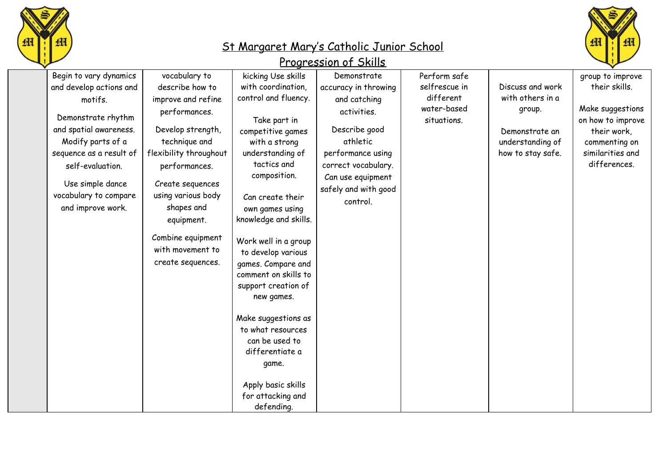



| group to improve                      |
|---------------------------------------|
| their skills.                         |
|                                       |
| Make suggestions<br>on how to improve |
| their work,                           |
| commenting on                         |
| similarities and                      |
| differences.                          |
|                                       |
|                                       |
|                                       |
|                                       |
|                                       |
|                                       |
|                                       |
|                                       |
|                                       |
|                                       |
|                                       |
|                                       |
|                                       |
|                                       |
|                                       |
|                                       |
|                                       |
|                                       |
|                                       |
|                                       |
|                                       |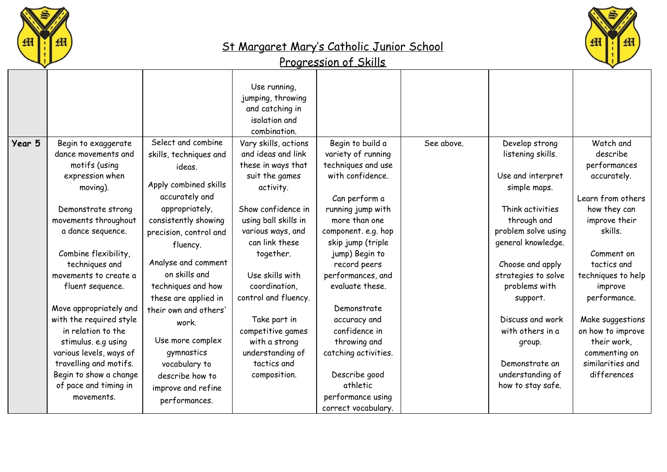





|        |                         |                        | Use running,<br>jumping, throwing<br>and catching in<br>isolation and<br>combination. |                      |            |                     |                    |
|--------|-------------------------|------------------------|---------------------------------------------------------------------------------------|----------------------|------------|---------------------|--------------------|
| Year 5 | Begin to exaggerate     | Select and combine     | Vary skills, actions                                                                  | Begin to build a     | See above. | Develop strong      | Watch and          |
|        | dance movements and     | skills, techniques and | and ideas and link                                                                    | variety of running   |            | listening skills.   | describe           |
|        | motifs (using           | ideas.                 | these in ways that                                                                    | techniques and use   |            |                     | performances       |
|        | expression when         |                        | suit the games                                                                        | with confidence.     |            | Use and interpret   | accurately.        |
|        | moving).                | Apply combined skills  | activity.                                                                             |                      |            | simple maps.        |                    |
|        |                         | accurately and         |                                                                                       | Can perform a        |            |                     | Learn from others  |
|        | Demonstrate strong      | appropriately,         | Show confidence in                                                                    | running jump with    |            | Think activities    | how they can       |
|        | movements throughout    | consistently showing   | using ball skills in                                                                  | more than one        |            | through and         | improve their      |
|        | a dance sequence.       | precision, control and | various ways, and                                                                     | component. e.g. hop  |            | problem solve using | skills.            |
|        |                         | fluency.               | can link these                                                                        | skip jump (triple    |            | general knowledge.  |                    |
|        | Combine flexibility,    |                        | together.                                                                             | jump) Begin to       |            |                     | Comment on         |
|        | techniques and          | Analyse and comment    |                                                                                       | record peers         |            | Choose and apply    | tactics and        |
|        | movements to create a   | on skills and          | Use skills with                                                                       | performances, and    |            | strategies to solve | techniques to help |
|        | fluent sequence.        | techniques and how     | coordination,                                                                         | evaluate these.      |            | problems with       | improve            |
|        |                         | these are applied in   | control and fluency.                                                                  |                      |            | support.            | performance.       |
|        | Move appropriately and  | their own and others'  |                                                                                       | Demonstrate          |            |                     |                    |
|        | with the required style | work.                  | Take part in                                                                          | accuracy and         |            | Discuss and work    | Make suggestions   |
|        | in relation to the      |                        | competitive games                                                                     | confidence in        |            | with others in a    | on how to improve  |
|        | stimulus. e.g using     | Use more complex       | with a strong                                                                         | throwing and         |            | group.              | their work,        |
|        | various levels, ways of | gymnastics             | understanding of                                                                      | catching activities. |            |                     | commenting on      |
|        | travelling and motifs.  | vocabulary to          | tactics and                                                                           |                      |            | Demonstrate an      | similarities and   |
|        | Begin to show a change  | describe how to        | composition.                                                                          | Describe good        |            | understanding of    | differences        |
|        | of pace and timing in   | improve and refine     |                                                                                       | athletic             |            | how to stay safe.   |                    |
|        | movements.              | performances.          |                                                                                       | performance using    |            |                     |                    |
|        |                         |                        |                                                                                       | correct vocabulary.  |            |                     |                    |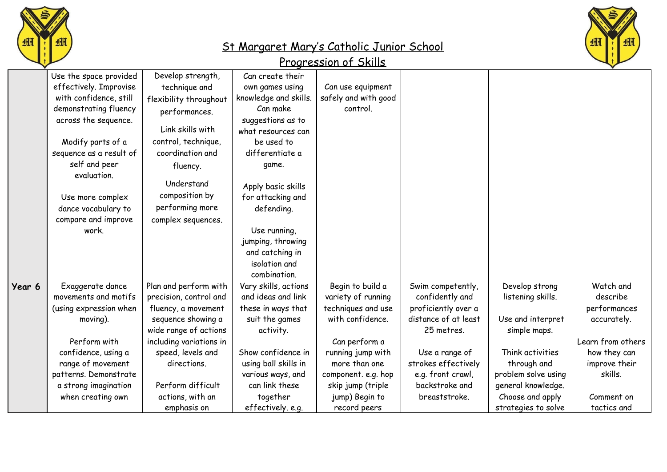



|        | Use the space provided  | Develop strength,       | Can create their      |                      |                      |                     |                   |
|--------|-------------------------|-------------------------|-----------------------|----------------------|----------------------|---------------------|-------------------|
|        | effectively. Improvise  | technique and           | own games using       | Can use equipment    |                      |                     |                   |
|        | with confidence, still  | flexibility throughout  | knowledge and skills. | safely and with good |                      |                     |                   |
|        | demonstrating fluency   | performances.           | Can make              | control.             |                      |                     |                   |
|        | across the sequence.    |                         | suggestions as to     |                      |                      |                     |                   |
|        |                         | Link skills with        | what resources can    |                      |                      |                     |                   |
|        | Modify parts of a       | control, technique,     | be used to            |                      |                      |                     |                   |
|        | sequence as a result of | coordination and        | differentiate a       |                      |                      |                     |                   |
|        | self and peer           | fluency.                | game.                 |                      |                      |                     |                   |
|        | evaluation.             |                         |                       |                      |                      |                     |                   |
|        |                         | Understand              | Apply basic skills    |                      |                      |                     |                   |
|        | Use more complex        | composition by          | for attacking and     |                      |                      |                     |                   |
|        | dance vocabulary to     | performing more         | defending.            |                      |                      |                     |                   |
|        | compare and improve     | complex sequences.      |                       |                      |                      |                     |                   |
|        | work.                   |                         | Use running,          |                      |                      |                     |                   |
|        |                         |                         | jumping, throwing     |                      |                      |                     |                   |
|        |                         |                         | and catching in       |                      |                      |                     |                   |
|        |                         |                         | isolation and         |                      |                      |                     |                   |
|        |                         |                         | combination.          |                      |                      |                     |                   |
| Year 6 | Exaggerate dance        | Plan and perform with   | Vary skills, actions  | Begin to build a     | Swim competently,    | Develop strong      | Watch and         |
|        | movements and motifs    | precision, control and  | and ideas and link    | variety of running   | confidently and      | listening skills.   | describe          |
|        | (using expression when  | fluency, a movement     | these in ways that    | techniques and use   | proficiently over a  |                     | performances      |
|        | moving).                | sequence showing a      | suit the games        | with confidence.     | distance of at least | Use and interpret   | accurately.       |
|        |                         | wide range of actions   | activity.             |                      | 25 metres.           | simple maps.        |                   |
|        | Perform with            | including variations in |                       | Can perform a        |                      |                     | Learn from others |
|        | confidence, using a     | speed, levels and       | Show confidence in    | running jump with    | Use a range of       | Think activities    | how they can      |
|        | range of movement       | directions.             | using ball skills in  | more than one        | strokes effectively  | through and         | improve their     |
|        | patterns. Demonstrate   |                         | various ways, and     | component. e.g. hop  | e.g. front crawl,    | problem solve using | skills.           |
|        | a strong imagination    | Perform difficult       | can link these        | skip jump (triple    | backstroke and       | general knowledge.  |                   |
|        | when creating own       | actions, with an        | together              | jump) Begin to       | breaststroke.        | Choose and apply    | Comment on        |
|        |                         | emphasis on             | effectively. e.g.     | record peers         |                      | strategies to solve | tactics and       |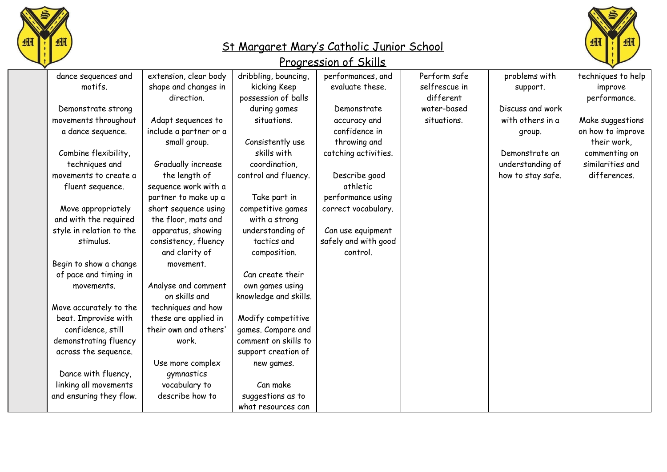



| dance sequences and      | extension, clear body  | dribbling, bouncing,  | performances, and    | Perform safe  | problems with     | techniques to help |
|--------------------------|------------------------|-----------------------|----------------------|---------------|-------------------|--------------------|
| motifs.                  | shape and changes in   | kicking Keep          | evaluate these.      | selfrescue in | support.          | improve            |
|                          | direction.             | possession of balls   |                      | different     |                   | performance.       |
| Demonstrate strong       |                        | during games          | Demonstrate          | water-based   | Discuss and work  |                    |
| movements throughout     | Adapt sequences to     | situations.           | accuracy and         | situations.   | with others in a  | Make suggestions   |
| a dance sequence.        | include a partner or a |                       | confidence in        |               | group.            | on how to improve  |
|                          | small group.           | Consistently use      | throwing and         |               |                   | their work,        |
| Combine flexibility,     |                        | skills with           | catching activities. |               | Demonstrate an    | commenting on      |
| techniques and           | Gradually increase     | coordination,         |                      |               | understanding of  | similarities and   |
| movements to create a    | the length of          | control and fluency.  | Describe good        |               | how to stay safe. | differences.       |
| fluent sequence.         | sequence work with a   |                       | athletic             |               |                   |                    |
|                          | partner to make up a   | Take part in          | performance using    |               |                   |                    |
| Move appropriately       | short sequence using   | competitive games     | correct vocabulary.  |               |                   |                    |
| and with the required    | the floor, mats and    | with a strong         |                      |               |                   |                    |
| style in relation to the | apparatus, showing     | understanding of      | Can use equipment    |               |                   |                    |
| stimulus.                | consistency, fluency   | tactics and           | safely and with good |               |                   |                    |
|                          | and clarity of         | composition.          | control.             |               |                   |                    |
| Begin to show a change   | movement.              |                       |                      |               |                   |                    |
| of pace and timing in    |                        | Can create their      |                      |               |                   |                    |
| movements.               | Analyse and comment    | own games using       |                      |               |                   |                    |
|                          | on skills and          | knowledge and skills. |                      |               |                   |                    |
| Move accurately to the   | techniques and how     |                       |                      |               |                   |                    |
| beat. Improvise with     | these are applied in   | Modify competitive    |                      |               |                   |                    |
| confidence, still        | their own and others'  | games. Compare and    |                      |               |                   |                    |
| demonstrating fluency    | work.                  | comment on skills to  |                      |               |                   |                    |
| across the sequence.     |                        | support creation of   |                      |               |                   |                    |
|                          | Use more complex       | new games.            |                      |               |                   |                    |
| Dance with fluency,      | gymnastics             |                       |                      |               |                   |                    |
| linking all movements    | vocabulary to          | Can make              |                      |               |                   |                    |
| and ensuring they flow.  | describe how to        | suggestions as to     |                      |               |                   |                    |
|                          |                        | what resources can    |                      |               |                   |                    |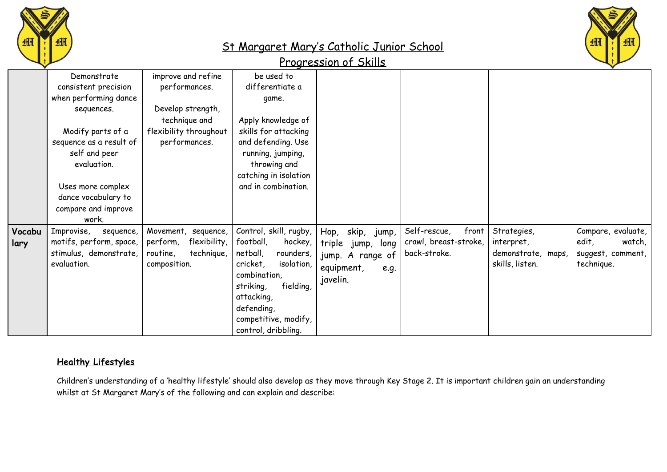



#### Progression of Skills

|        | Demonstrate                  | improve and refine       | be used to                        |                        |                       |                    |                    |
|--------|------------------------------|--------------------------|-----------------------------------|------------------------|-----------------------|--------------------|--------------------|
|        | consistent precision         | performances.            | differentiate a                   |                        |                       |                    |                    |
|        | when performing dance        |                          | game.                             |                        |                       |                    |                    |
|        | sequences.                   | Develop strength,        |                                   |                        |                       |                    |                    |
|        |                              | technique and            | Apply knowledge of                |                        |                       |                    |                    |
|        | Modify parts of a            | flexibility throughout   | skills for attacking              |                        |                       |                    |                    |
|        | sequence as a result of      | performances.            | and defending. Use                |                        |                       |                    |                    |
|        | self and peer<br>evaluation. |                          | running, jumping,<br>throwing and |                        |                       |                    |                    |
|        |                              |                          | catching in isolation             |                        |                       |                    |                    |
|        | Uses more complex            |                          | and in combination.               |                        |                       |                    |                    |
|        | dance vocabulary to          |                          |                                   |                        |                       |                    |                    |
|        | compare and improve          |                          |                                   |                        |                       |                    |                    |
|        | work.                        |                          |                                   |                        |                       |                    |                    |
| Vocabu | Improvise,<br>sequence,      | Movement,<br>sequence,   | Control, skill, rugby,            | skip,<br>Hop,<br>jump, | Self-rescue,<br>front | Strategies,        | Compare, evaluate, |
| lary   | motifs, perform, space,      | flexibility,<br>perform, | football,<br>hockey,              | triple jump,<br>long   | crawl, breast-stroke, | interpret,         | edit,<br>watch,    |
|        | stimulus, demonstrate,       | technique,<br>routine,   | netball,<br>rounders,             | jump. A range of       | back-stroke.          | demonstrate, maps, | suggest, comment,  |
|        | evaluation.                  | composition.             | isolation,<br>cricket,            | equipment,<br>e.g.     |                       | skills, listen.    | technique.         |
|        |                              |                          | combination,                      |                        |                       |                    |                    |
|        |                              |                          | fielding,<br>striking,            | javelin.               |                       |                    |                    |
|        |                              |                          | attacking,                        |                        |                       |                    |                    |
|        |                              |                          | defending,                        |                        |                       |                    |                    |
|        |                              |                          | competitive, modify,              |                        |                       |                    |                    |
|        |                              |                          | control, dribbling.               |                        |                       |                    |                    |
|        |                              |                          |                                   |                        |                       |                    |                    |

#### **Healthy Lifestyles**

Children's understanding of a 'healthy lifestyle' should also develop as they move through Key Stage 2. It is important children gain an understanding whilst at St Margaret Mary's of the following and can explain and describe: